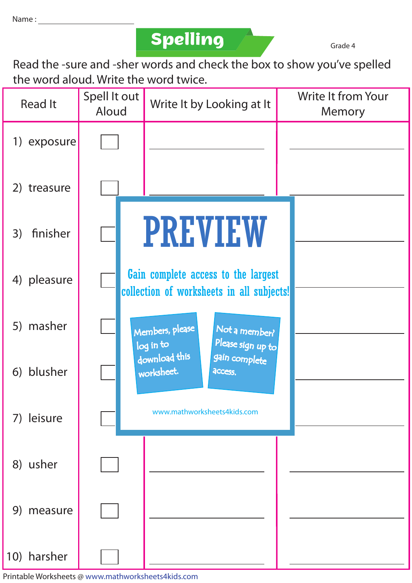**Spelling Grade 4** 

Read the -sure and -sher words and check the box to show you've spelled the word aloud. Write the word twice.

| <b>Read It</b> |             | Spell It out<br>Aloud |                                                                                  | Write It by Looking at It    |                                    |  | <b>Write It from Your</b><br>Memory |
|----------------|-------------|-----------------------|----------------------------------------------------------------------------------|------------------------------|------------------------------------|--|-------------------------------------|
|                | 1) exposure |                       |                                                                                  |                              |                                    |  |                                     |
|                | 2) treasure |                       |                                                                                  |                              |                                    |  |                                     |
| 3)             | finisher    |                       |                                                                                  |                              | <b>PREVIEW</b>                     |  |                                     |
|                | 4) pleasure |                       | Gain complete access to the largest<br>collection of worksheets in all subjects! |                              |                                    |  |                                     |
|                | 5) masher   |                       |                                                                                  | Members, please<br>log in to | Not a member?<br>Please sign up to |  |                                     |
|                | 6) blusher  |                       |                                                                                  | download this<br>worksheet.  |                                    |  |                                     |
|                | 7) leisure  |                       |                                                                                  |                              | www.mathworksheets4kids.com        |  |                                     |
|                | 8) usher    |                       |                                                                                  |                              |                                    |  |                                     |
|                | 9) measure  |                       |                                                                                  |                              |                                    |  |                                     |
|                | 10) harsher |                       |                                                                                  |                              |                                    |  |                                     |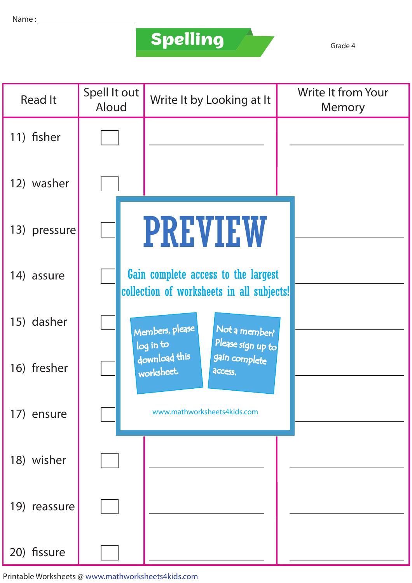## **Spelling**

Grade 4

| <b>Read It</b> | Spell It out<br>Aloud | Write It by Looking at It                                                        | <b>Write It from Your</b><br>Memory |
|----------------|-----------------------|----------------------------------------------------------------------------------|-------------------------------------|
| 11) fisher     |                       |                                                                                  |                                     |
| 12) washer     |                       |                                                                                  |                                     |
| 13) pressure   |                       | <b>PREVIEW</b>                                                                   |                                     |
| 14) assure     |                       | Gain complete access to the largest<br>collection of worksheets in all subjects! |                                     |
| 15) dasher     |                       | Members, please<br>Not a member?<br>Please sign up to<br>log in to               |                                     |
| 16) fresher    |                       | download this<br>gain complete<br>worksheet.<br>access.                          |                                     |
| 17) ensure     |                       | www.mathworksheets4kids.com                                                      |                                     |
| 18) wisher     |                       |                                                                                  |                                     |
| 19) reassure   |                       |                                                                                  |                                     |
| 20) fissure    |                       |                                                                                  |                                     |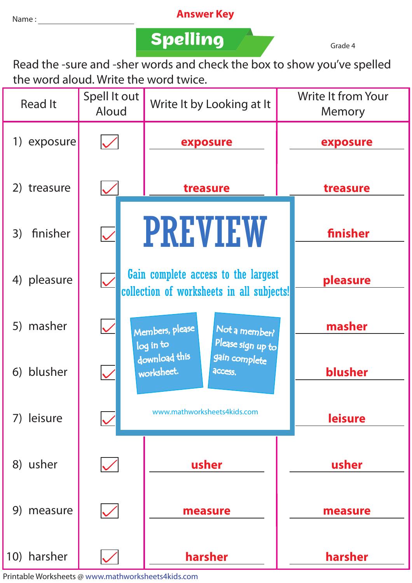## Name : **Answer Key**

**Spelling Grade 4** 

Read the -sure and -sher words and check the box to show you've spelled the word aloud. Write the word twice.